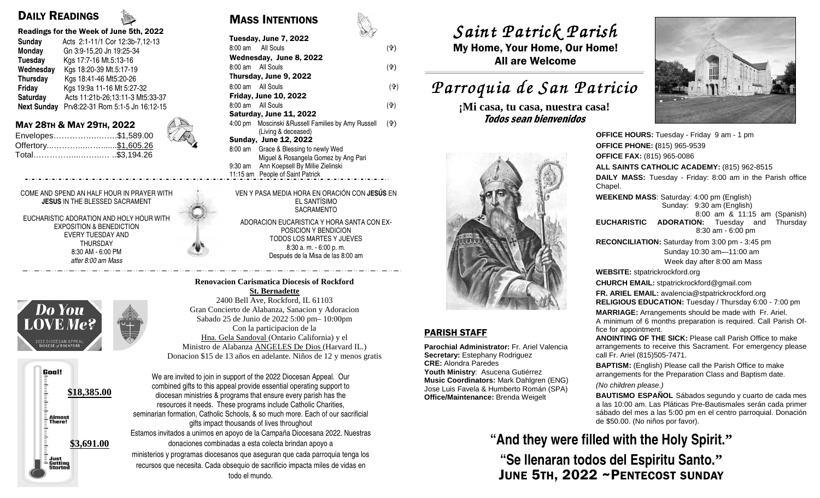# DAILY READINGS

| Readings for the Week of June 5th, 2022 |                                  |  |  |  |  |  |
|-----------------------------------------|----------------------------------|--|--|--|--|--|
| <b>Sunday</b>                           | Acts 2:1-11/1 Cor 12:3b-7,12-13  |  |  |  |  |  |
| <b>Monday</b>                           | Gn 3:9-15,20 Jn 19:25-34         |  |  |  |  |  |
| <b>Tuesday</b>                          | Kgs 17:7-16 Mt.5:13-16           |  |  |  |  |  |
| Wednesday                               | Kgs 18:20-39 Mt.5:17-19          |  |  |  |  |  |
| <b>Thursday</b>                         | Kgs 18:41-46 Mt5:20-26           |  |  |  |  |  |
| Friday                                  | Kgs 19:9a 11-16 Mt 5:27-32       |  |  |  |  |  |
| Saturday                                | Acts 11:21b-26;13:11-3 Mt5:33-37 |  |  |  |  |  |
| <b>Next Sunday</b>                      | Prv8:22-31 Rom 5:1-5 Jn 16:12-15 |  |  |  |  |  |

| Envelopes\$1,589.00 |  |
|---------------------|--|
| Offertory\$1,605.26 |  |
| Total\$3,194.26     |  |

### COME AND SPEND AN HALF HOUR IN PRAYER WITH **JESUS** IN THE BLESSED SACRAMENT

EUCHARISTIC ADORATION AND HOLY HOUR WITH EXPOSITION & BENEDICTION EVERY TUESDAY AND THURSDAY 8:30 AM - 6:00 PM after 8:00 am Mass





# MASS INTENTIONS

| <b>Requires for the Week of Julie 3th, 2022</b> |                                              |  | S F                          |                                                                            | $\bigcup$ ULIIL I ULILUN I U |                            |
|-------------------------------------------------|----------------------------------------------|--|------------------------------|----------------------------------------------------------------------------|------------------------------|----------------------------|
| Sunday                                          | Acts 2:1-11/1 Cor 12:3b-7,12-13              |  |                              | Tuesday, June 7, 2022                                                      |                              |                            |
| Monday                                          | Gn 3:9-15,20 Jn 19:25-34                     |  |                              | 8:00 am All Souls                                                          | (ተ)                          | My Home, Your Home, Our    |
| Tuesday                                         | Kgs 17:7-16 Mt.5:13-16                       |  |                              | Wednesday, June 8, 2022                                                    |                              | <b>All are Welcome</b>     |
| Wednesday                                       | Kgs 18:20-39 Mt.5:17-19                      |  |                              | 8:00 am All Souls                                                          | $($ tr $)$                   |                            |
| Thursday                                        | Kgs 18:41-46 Mt5:20-26                       |  |                              | Thursday, June 9, 2022                                                     |                              |                            |
| Friday                                          | Kgs 19:9a 11-16 Mt 5:27-32                   |  |                              | 8:00 am All Souls                                                          | $($ + $\rightarrow$          | Parroquia de San P         |
| Acts 11:21b-26:13:11-3 Mt5:33-37<br>Saturday    |                                              |  | <b>Friday, June 10, 2022</b> |                                                                            |                              |                            |
|                                                 | Next Sunday Prv8:22-31 Rom 5:1-5 Jn 16:12-15 |  |                              | 8:00 am All Souls<br><b>Saturday, June 11, 2022</b>                        | (ተ)                          | ¡Mi casa, tu casa, nuestra |
|                                                 | MAY 28TH & MAY 29TH, 2022                    |  |                              | 4:00 pm Moscinski & Russell Families by Amy Russell<br>(Living & deceased) | (令)                          | Todos sean bienvenidos     |
|                                                 | Envelopes\$1,589.00                          |  |                              | <b>Sunday, June 12, 2022</b>                                               |                              |                            |
|                                                 | Total\$3,194.26                              |  | 8:00 am                      | Grace & Blessing to newly Wed<br>Miguel & Rosangela Gomez by Ang Pari      |                              |                            |
|                                                 |                                              |  | $9:30$ am                    | Ann Koepsell By Millie Zielinski                                           |                              |                            |
|                                                 |                                              |  |                              | 11:15 am People of Saint Patrick                                           |                              |                            |

VEN Y PASA MEDIA HORA EN ORACIÓN CON **JESÚS** EN EL SANTÍSIMO SACRAMENTO ADORACION EUCARISTICA Y HORA SANTA CON EX-

POSICION Y BENDICION TODOS LOS MARTES Y JUEVES 8:30 a. m. - 6:00 p. m. Después de la Misa de las 8:00 am

#### **Renovacion Carismatica Diocesis of Rockford St. Bernadette**

 2400 Bell Ave, Rockford, IL 61103 Gran Concierto de Alabanza, Sanacion y Adoracion Sabado 25 de Junio de 2022 5:00 pm– 10:00pm Con la participacion de la Hna. Gela Sandoval (Ontario California) y el Ministro de Alabanza **ANGELES De Dios** (Harvard IL.) Donacion \$15 de 13 años en adelante. Niños de 12 y menos gratis

We are invited to join in support of the 2022 Diocesan Appeal. Our combined gifts to this appeal provide essential operating support to diocesan ministries & programs that ensure every parish has the resources it needs. These programs include Catholic Charities, seminarian formation, Catholic Schools, & so much more. Each of our sacrificial gifts impact thousands of lives throughout Estamos invitados a unirnos en apoyo de la Campaña Diocesana 2022. Nuestras donaciones combinadas a esta colecta brindan apoyo a ministerios y programas diocesanos que aseguran que cada parroquia tenga los recursos que necesita. Cada obsequio de sacrificio impacta miles de vidas en todo el mundo.

# *Saint Patrick Parish Saint Parish*

 My Home, Your Home, Our Home! All are Welcome

# *Parroquia de San Patricio San Patricio*

**¡Mi casa, tu casa, nuestra casa!** 



## PARISH STAFF

**Parochial Administrator:** Fr. Ariel Valencia **Secretary:** Estephany Rodriguez **CRE:** Alondra Paredes **Youth Ministry**: Asucena Gutiérrez **Music Coordinators:** Mark Dahlgren (ENG) Jose Luis Favela & Humberto Román (SPA) **Office/Maintenance:** Brenda Weigelt



**OFFICE PHONE: (**815) 965-9539**OFFICE FAX:** (815) 965-0086 **ALL SAINTS CATHOLIC ACADEMY:** (815) 962-8515 **DAILY MASS:** Tuesday - Friday: 8:00 am in the Parish office Chapel. **WEEKEND MASS**: Saturday: 4:00 pm (English) Sunday: 9:30 am (English) 8:00 am & 11:15 am (Spanish) **EUCHARISTIC ADORATION:** Tuesday and Thursday 8:30 am - 6:00 pm **RECONCILIATION:** Saturday from 3:00 pm - 3:45 pm Sunday 10:30 am—11:00 am Week day after 8:00 am Mass**WEBSITE:** stpatrickrockford.org **CHURCH EMAIL:** stpatrickrockford@gmail.com **FR. ARIEL EMAIL:** avalencia@stpatrickrockford.org **RELIGIOUS EDUCATION:** Tuesday / Thursday 6:00 - 7:00 pm**MARRIAGE:** Arrangements should be made with Fr. Ariel.

 A minimum of 6 months preparation is required. Call Parish Office for appointment.

 **ANOINTING OF THE SICK:** Please call Parish Office to make arrangements to receive this Sacrament. For emergency please call Fr. Ariel (815)505-7471.

**BAPTISM:** (English) Please call the Parish Office to make arrangements for the Preparation Class and Baptism date. (No children please.)

**BAUTISMO ESPAÑOL** Sábados segundo y cuarto de cada mes a las 10:00 am. Las Pláticas Pre-Bautismales serán cada primer sábado del mes a las 5:00 pm en el centro parroquial. Donación de \$50.00. (No niños por favor).

**"And they were filled with the Holy Spirit."** 

**"Se llenaran todos del Espiritu Santo."** JUNE 5TH, 2022 ~PENTECOST SUNDAY